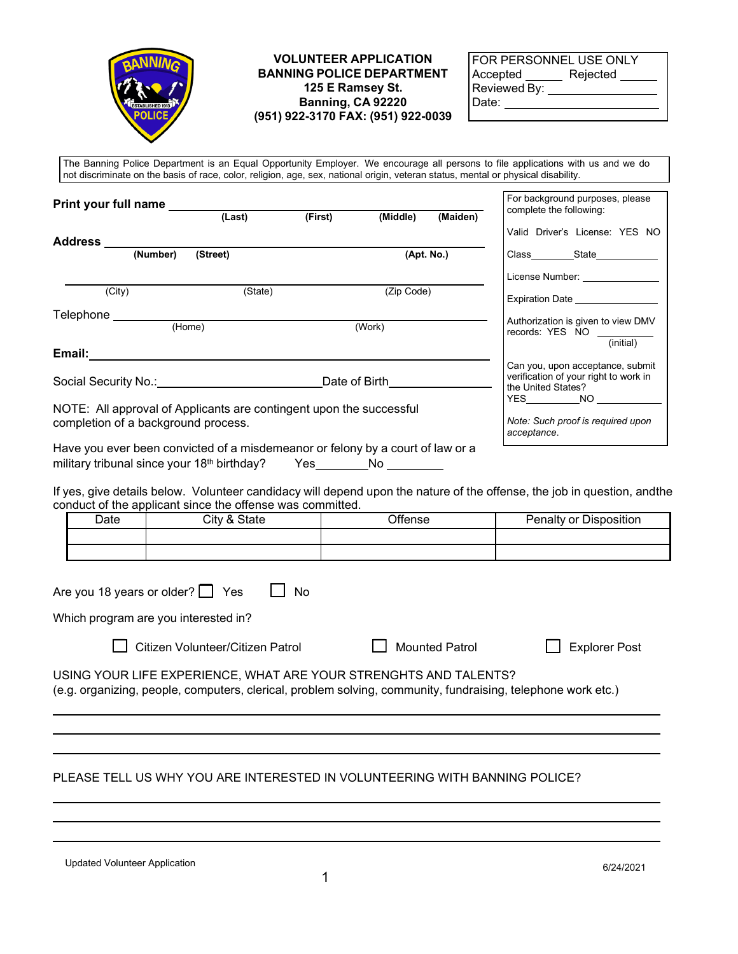

## **VOLUNTEER APPLICATION BANNING POLICE DEPARTMENT 125 E Ramsey St. Banning, CA 92220 (951) 922-3170 FAX: (951) 922-0039**

| FOR PERSONNEL USE ONLY |          |
|------------------------|----------|
| Accepted               | Rejected |
| Reviewed By:           |          |
| Date:                  |          |

The Banning Police Department is an Equal Opportunity Employer. We encourage all persons to file applications with us and we do not discriminate on the basis of race, color, religion, age, sex, national origin, veteran status, mental or physical disability.

| <b>Print your full name</b>                                                                                |          |         |                    |                                                                                     | For background purposes, please<br>complete the following: |                                                                               |
|------------------------------------------------------------------------------------------------------------|----------|---------|--------------------|-------------------------------------------------------------------------------------|------------------------------------------------------------|-------------------------------------------------------------------------------|
|                                                                                                            | (Last)   | (First) | (Middle)           | (Maiden)                                                                            |                                                            |                                                                               |
| Address _______________________________                                                                    |          |         |                    |                                                                                     |                                                            | Valid Driver's License: YES NO                                                |
| (Number)                                                                                                   | (Street) |         |                    | (Apt. No.)                                                                          |                                                            | Class State State                                                             |
|                                                                                                            |          |         |                    |                                                                                     |                                                            | License Number: _______________                                               |
| $\overline{(City)}$                                                                                        | (State)  |         | (Zip Code)         |                                                                                     |                                                            | Expiration Date ________________                                              |
| Telephone                                                                                                  | (Home)   |         | (Work)             |                                                                                     |                                                            | Authorization is given to view DMV<br>records: YES NO __________<br>(initial) |
| Date of Birth                                                                                              |          |         | the United States? | Can you, upon acceptance, submit<br>verification of your right to work in<br>YES NO |                                                            |                                                                               |
| NOTE: All approval of Applicants are contingent upon the successful<br>completion of a background process. |          |         |                    |                                                                                     | acceptance.                                                | Note: Such proof is required upon                                             |
| Have you ever been convicted of a misdemeanor or felony by a court of law or a                             |          |         |                    |                                                                                     |                                                            |                                                                               |

military tribunal since your 18<sup>th</sup> birthday? Yes No

If yes, give details below. Volunteer candidacy will depend upon the nature of the offense, the job in question, andthe conduct of the applicant since the offense was committed.

| Date | City & State | Offense | Penalty or Disposition |
|------|--------------|---------|------------------------|
|      |              |         |                        |
|      |              |         |                        |

| Are you 18 years or older? $\Box$ Yes $\Box$ No |  |
|-------------------------------------------------|--|
| Which program are you interested in?            |  |

□ Citizen Volunteer/Citizen Patrol □ Mounted Patrol □ Explorer Post

USING YOUR LIFE EXPERIENCE, WHAT ARE YOUR STRENGHTS AND TALENTS? (e.g. organizing, people, computers, clerical, problem solving, community, fundraising, telephone work etc.)

## PLEASE TELL US WHY YOU ARE INTERESTED IN VOLUNTEERING WITH BANNING POLICE?

Updated Volunteer Application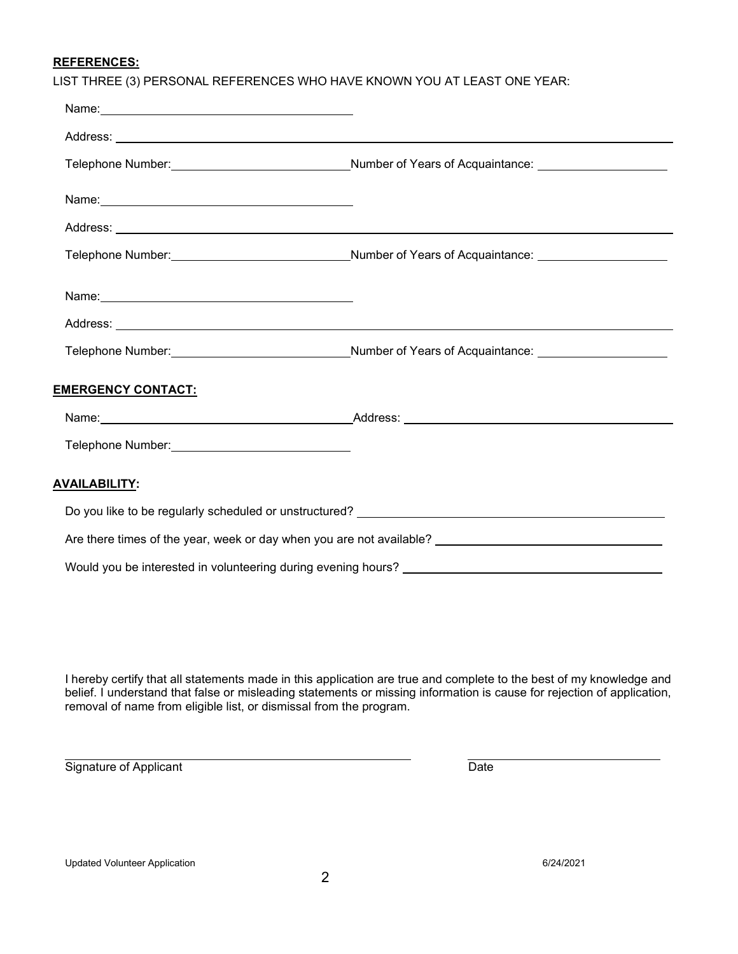## **REFERENCES:**

| LIST THREE (3) PERSONAL REFERENCES WHO HAVE KNOWN YOU AT LEAST ONE YEAR: |  |
|--------------------------------------------------------------------------|--|
|--------------------------------------------------------------------------|--|

|                                                                                                                                                                                                                                | Telephone Number: _________________________________Number of Years of Acquaintance: ______________________    |
|--------------------------------------------------------------------------------------------------------------------------------------------------------------------------------------------------------------------------------|---------------------------------------------------------------------------------------------------------------|
|                                                                                                                                                                                                                                |                                                                                                               |
|                                                                                                                                                                                                                                |                                                                                                               |
|                                                                                                                                                                                                                                | Telephone Number: __________________________________Number of Years of Acquaintance: ________________________ |
|                                                                                                                                                                                                                                |                                                                                                               |
|                                                                                                                                                                                                                                |                                                                                                               |
|                                                                                                                                                                                                                                | Telephone Number:_______________________________Number of Years of Acquaintance: ___________________          |
| <b>EMERGENCY CONTACT:</b>                                                                                                                                                                                                      |                                                                                                               |
|                                                                                                                                                                                                                                |                                                                                                               |
| Telephone Number: View Management Communication of the United States and Communications of the United States and Communications of the United States and Communications and Communications of the United States and Communicat |                                                                                                               |
| <b>AVAILABILITY:</b>                                                                                                                                                                                                           |                                                                                                               |
|                                                                                                                                                                                                                                |                                                                                                               |
|                                                                                                                                                                                                                                |                                                                                                               |
|                                                                                                                                                                                                                                |                                                                                                               |

I hereby certify that all statements made in this application are true and complete to the best of my knowledge and belief. I understand that false or misleading statements or missing information is cause for rejection of application, removal of name from eligible list, or dismissal from the program.

Signature of Applicant Date

Updated Volunteer Application 6/24/2021